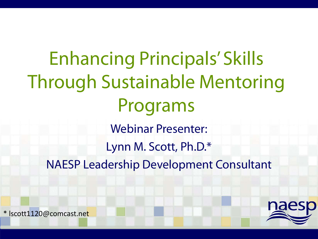# Enhancing Principals' Skills Through Sustainable Mentoring Programs Webinar Presenter: Lynn M. Scott, Ph.D.\* NAESP Leadership Development Consultant



\* lscott1120@comcast.net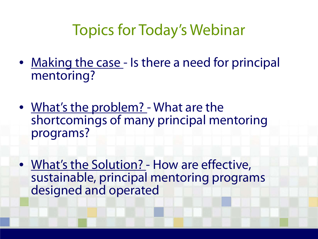## Topics for Today's Webinar

- Making the case Is there a need for principal mentoring?
- What's the problem? What are the shortcomings of many principal mentoring programs?
- What's the Solution? How are effective, sustainable, principal mentoring programs designed and operated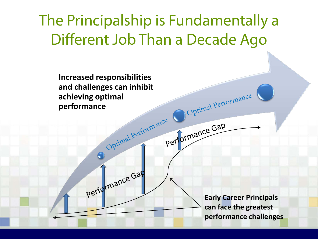## The Principalship is Fundamentally a Different Job Than a Decade Ago

**Increased responsibilities and challenges can inhibit achieving optimal performance** 

Performance Gap

**Early Career Principals can face the greatest performance challenges** 

Optimal Performance

performance Gap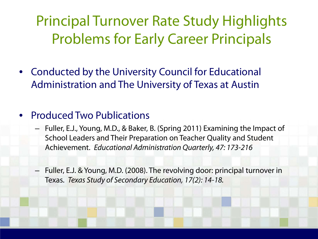Principal Turnover Rate Study Highlights Problems for Early Career Principals

• Conducted by the University Council for Educational Administration and The University of Texas at Austin

### • Produced Two Publications

- Fuller, E.J., Young, M.D., & Baker, B. (Spring 2011) Examining the Impact of School Leaders and Their Preparation on Teacher Quality and Student Achievement. *Educational Administration Quarterly, 47: 173-216*
- Fuller, E.J. & Young, M.D. (2008). The revolving door: principal turnover in Texas. *Texas Study of Secondary Education, 17(2): 14-18.*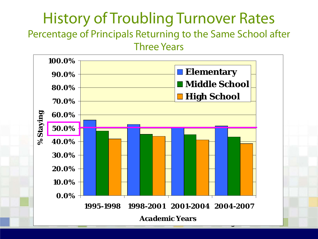### History of Troubling Turnover Rates Percentage of Principals Returning to the Same School after

Three Years

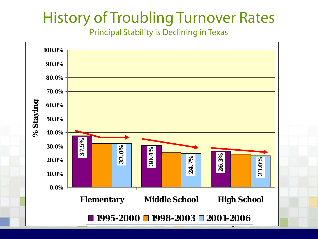## History of Troubling Turnover Rates

Principal Stability is Declining in Texas

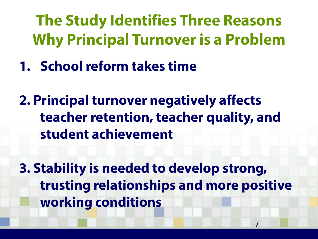**The Study Identifies Three Reasons Why Principal Turnover is a Problem**

**1. School reform takes time**

**2. Principal turnover negatively affects teacher retention, teacher quality, and student achievement**

**3. Stability is needed to develop strong, trusting relationships and more positive working conditions**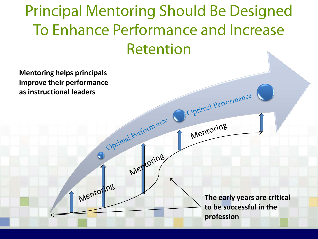Principal Mentoring Should Be Designed To Enhance Performance and Increase Retention

**Mentoring helps principals improve their performance as instructional leaders** Optimal Performance Optimal Performance Mentoring Mentoring  $\bigodot$ Mentoring **The early years are critical to be successful in the profession**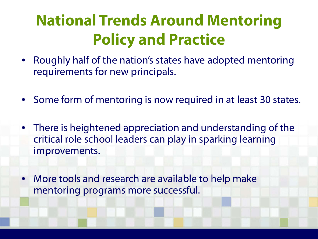## **National Trends Around Mentoring Policy and Practice**

- Roughly half of the nation's states have adopted mentoring requirements for new principals.
- Some form of mentoring is now required in at least 30 states.
- There is heightened appreciation and understanding of the critical role school leaders can play in sparking learning improvements.
- More tools and research are available to help make mentoring programs more successful.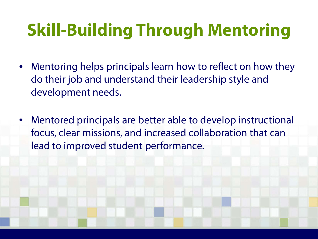# **Skill-Building Through Mentoring**

- Mentoring helps principals learn how to reflect on how they do their job and understand their leadership style and development needs.
- Mentored principals are better able to develop instructional focus, clear missions, and increased collaboration that can lead to improved student performance.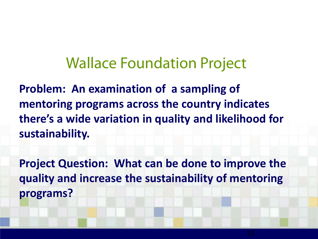## Wallace Foundation Project

**Problem: An examination of a sampling of mentoring programs across the country indicates there's a wide variation in quality and likelihood for sustainability.** 

**Project Question: What can be done to improve the quality and increase the sustainability of mentoring programs?**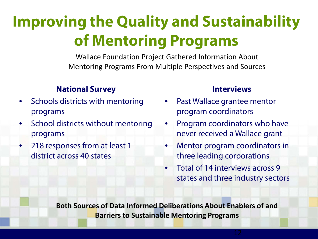## **Improving the Quality and Sustainability of Mentoring Programs**

Wallace Foundation Project Gathered Information About Mentoring Programs From Multiple Perspectives and Sources

#### **National Survey**

- Schools districts with mentoring programs
- School districts without mentoring programs
- 218 responses from at least 1 district across 40 states

#### **Interviews**

- Past Wallace grantee mentor program coordinators
- Program coordinators who have never received a Wallace grant
- Mentor program coordinators in three leading corporations
- Total of 14 interviews across 9 states and three industry sectors

**Both Sources of Data Informed Deliberations About Enablers of and Barriers to Sustainable Mentoring Programs**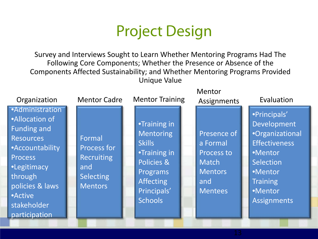## Project Design

Survey and Interviews Sought to Learn Whether Mentoring Programs Had The Following Core Components; Whether the Presence or Absence of the Components Affected Sustainability; and Whether Mentoring Programs Provided Unique Value

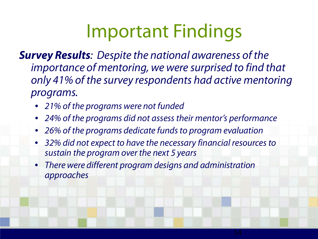# Important Findings

*Survey Results: Despite the national awareness of the importance of mentoring, we were surprised to find that only 41% of the survey respondents had active mentoring programs.*

- *21% of the programs were not funded*
- *24% of the programs did not assess their mentor's performance*
- *26% of the programs dedicate funds to program evaluation*
- *32% did not expect to have the necessary financial resources to sustain the program over the next 5 years*
- *There were different program designs and administration approaches*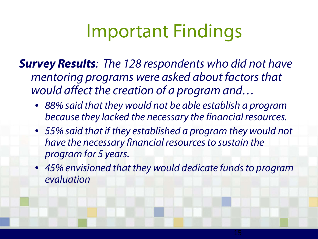# Important Findings

*Survey Results: The 128 respondents who did not have mentoring programs were asked about factors that would affect the creation of a program and…*

- *88% said that they would not be able establish a program because they lacked the necessary the financial resources.*
- *55% said that if they established a program they would not have the necessary financial resources to sustain the program for 5 years.*
- *45% envisioned that they would dedicate funds to program evaluation*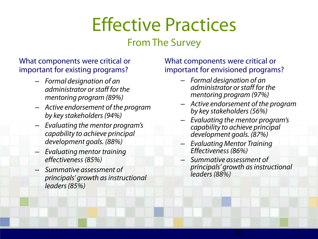# Effective Practices

### From The Survey

#### What components were critical or important for existing programs?

- *Formal designation of an administrator or staff for the mentoring program (89%)*
- *Active endorsement of the program by key stakeholders (94%)*
- *Evaluating the mentor program's capability to achieve principal development goals. (88%)*
- *Evaluating mentor training effectiveness (85%)*
- *Summative assessment of principals' growth as instructional leaders (85%)*

#### What components were critical or important for envisioned programs?

- *Formal designation of an administrator or staff for the mentoring program (97%)*
- *Active endorsement of the program by key stakeholders (56%)*
- *Evaluating the mentor program's capability to achieve principal development goals. (87%)*
- *Evaluating Mentor Training Effectiveness (86%)*
- *Summative assessment of principals' growth as instructional leaders (88%)*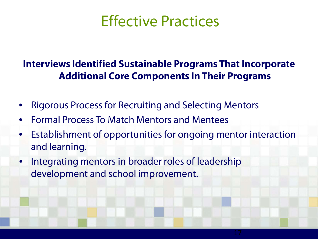### Effective Practices

### **Interviews Identified Sustainable Programs That Incorporate Additional Core Components In Their Programs**

- Rigorous Process for Recruiting and Selecting Mentors
- Formal Process To Match Mentors and Mentees
- Establishment of opportunities for ongoing mentor interaction and learning.
- Integrating mentors in broader roles of leadership development and school improvement.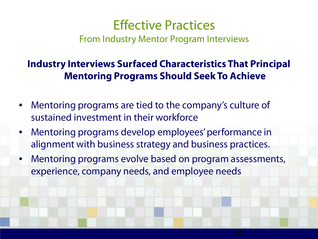### Effective Practices From Industry Mentor Program Interviews

### **Industry Interviews Surfaced Characteristics That Principal Mentoring Programs Should Seek To Achieve**

- Mentoring programs are tied to the company's culture of sustained investment in their workforce
- Mentoring programs develop employees' performance in alignment with business strategy and business practices.
- Mentoring programs evolve based on program assessments, experience, company needs, and employee needs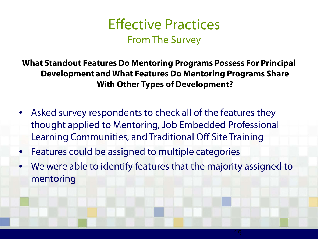

**What Standout Features Do Mentoring Programs Possess For Principal Development and What Features Do Mentoring Programs Share With Other Types of Development?**

- Asked survey respondents to check all of the features they thought applied to Mentoring, Job Embedded Professional Learning Communities, and Traditional Off Site Training
- Features could be assigned to multiple categories
- We were able to identify features that the majority assigned to mentoring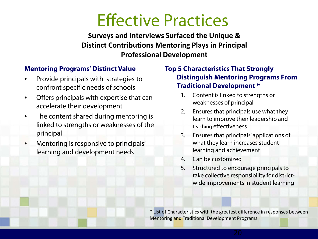## Effective Practices

**Surveys and Interviews Surfaced the Unique & Distinct Contributions Mentoring Plays in Principal Professional Development**

#### **Mentoring Programs' Distinct Value**

- Provide principals with strategies to confront specific needs of schools
- Offers principals with expertise that can accelerate their development
- The content shared during mentoring is linked to strengths or weaknesses of the principal
- Mentoring is responsive to principals' learning and development needs

#### **Top 5 Characteristics That Strongly Distinguish Mentoring Programs From Traditional Development \***

- 1. Content is linked to strengths or weaknesses of principal
- 2. Ensures that principals use what they learn to improve their leadership and teaching effectiveness
- 3. Ensures that principals' applications of what they learn increases student learning and achievement
- 4. Can be customized
- 5. Structured to encourage principals to take collective responsibility for districtwide improvements in student learning

\* List of Characteristics with the greatest difference in responses between Mentoring and Traditional Development Programs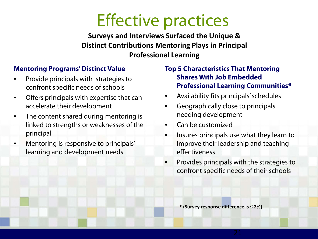## Effective practices

**Surveys and Interviews Surfaced the Unique & Distinct Contributions Mentoring Plays in Principal Professional Learning**

#### **Mentoring Programs' Distinct Value**

- Provide principals with strategies to confront specific needs of schools
- Offers principals with expertise that can accelerate their development
- The content shared during mentoring is linked to strengths or weaknesses of the principal
- Mentoring is responsive to principals' learning and development needs

#### **Top 5 Characteristics That Mentoring Shares With Job Embedded Professional Learning Communities\***

- Availability fits principals' schedules
- Geographically close to principals needing development
- Can be customized
- Insures principals use what they learn to improve their leadership and teaching effectiveness
- Provides principals with the strategies to confront specific needs of their schools

**\* (Survey response difference is ≤ 2%)**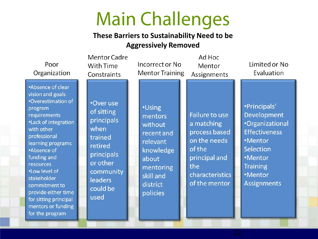# Main Challenges

#### **These Barriers to Sustainability Need to be Aggressively Removed**

| Poor<br>Organization                                                                                                                                                                                                                                                                                                                                          | <b>Mentor Cadre</b><br>With Time<br>Constraints                                                                                                  | Incorrect or No<br><b>Mentor Training</b>                                                                                             | Ad Hoc<br>Mentor<br>Assignments                                                                                                            | Limited or No<br>Evaluation                                                                                                                                                        |
|---------------------------------------------------------------------------------------------------------------------------------------------------------------------------------------------------------------------------------------------------------------------------------------------------------------------------------------------------------------|--------------------------------------------------------------------------------------------------------------------------------------------------|---------------------------------------------------------------------------------------------------------------------------------------|--------------------------------------------------------------------------------------------------------------------------------------------|------------------------------------------------------------------------------------------------------------------------------------------------------------------------------------|
| •Absence of clear<br>vision and goals<br>•Overestimation of<br>program<br>requirements<br><b>.Lack of integration</b><br>with other<br>professional<br>learning programs<br>•Absence of<br>funding and<br>resources<br>.Low level of<br>stakeholder<br>commitment to<br>provide either time<br>for sitting principal<br>mentors or funding<br>for the program | •Over use<br>of sitting<br>principals<br>when<br>trained<br>retired<br>principals<br>or other<br>community<br><b>leaders</b><br>could be<br>used | <b>•Using</b><br>mentors<br>without<br>recent and<br>relevant<br>knowledge<br>about<br>mentoring<br>skill and<br>district<br>policies | <b>Failure to use</b><br>a matching<br>process based<br>on the needs<br>of the<br>principal and<br>the<br>characteristics<br>of the mentor | ·Principals'<br><b>Development</b><br><b>•Organizational</b><br><b>Effectiveness</b><br>•Mentor<br><b>Selection</b><br>•Mentor<br><b>Training</b><br>•Mentor<br><b>Assignments</b> |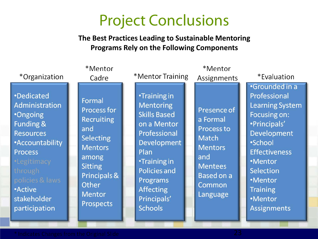## Project Conclusions

#### **The Best Practices Leading to Sustainable Mentoring Programs Rely on the Following Components**

| *Organization                                                                                                                                                                                                        | *Mentor<br>Cadre                                                                                                                                                                        | *Mentor Training                                                                                                                                                                                                                           | *Mentor<br>Assignments                                                                                                                      | *Evaluation                                                                                                                                                                                                                                     |
|----------------------------------------------------------------------------------------------------------------------------------------------------------------------------------------------------------------------|-----------------------------------------------------------------------------------------------------------------------------------------------------------------------------------------|--------------------------------------------------------------------------------------------------------------------------------------------------------------------------------------------------------------------------------------------|---------------------------------------------------------------------------------------------------------------------------------------------|-------------------------------------------------------------------------------------------------------------------------------------------------------------------------------------------------------------------------------------------------|
| •Dedicated<br>Administration<br><b>•Ongoing</b><br>Funding &<br><b>Resources</b><br>• Accountability<br><b>Process</b><br>•Legitimacy<br>through<br>policies & laws<br><b>Active</b><br>stakeholder<br>participation | Formal<br><b>Process for</b><br><b>Recruiting</b><br>and<br><b>Selecting</b><br><b>Mentors</b><br>among<br><b>Sitting</b><br>Principals &<br>Other<br><b>Mentor</b><br><b>Prospects</b> | •Training in<br><b>Mentoring</b><br><b>Skills Based</b><br>on a Mentor<br>Professional<br><b>Development</b><br>Plan<br><b>•Training in</b><br><b>Policies and</b><br><b>Programs</b><br><b>Affecting</b><br>Principals'<br><b>Schools</b> | Presence of<br>a Formal<br>Process to<br><b>Match</b><br><b>Mentors</b><br>and<br><b>Mentees</b><br><b>Based on a</b><br>Common<br>Language | •Grounded in a<br>Professional<br><b>Learning System</b><br>Focusing on:<br>•Principals'<br><b>Development</b><br><b>•School</b><br><b>Effectiveness</b><br>•Mentor<br>Selection<br>•Mentor<br><b>Training</b><br>·Mentor<br><b>Assignments</b> |